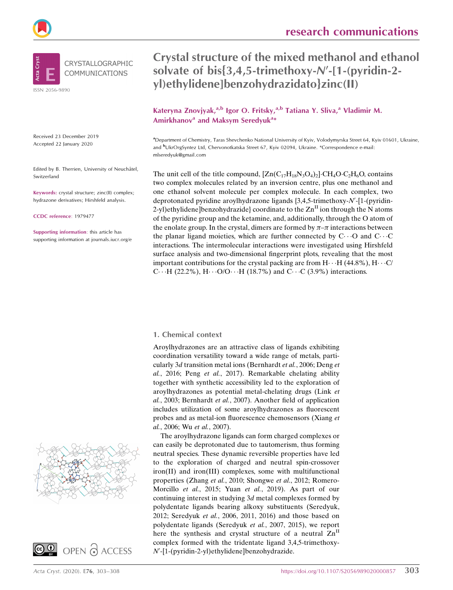

Received 23 December 2019 Accepted 22 January 2020

Edited by B. Therrien, University of Neuchâtel, Switzerland

Keywords: crystal structure; zinc(II) complex; hydrazone derivatives; Hirshfeld analysis.

CCDC reference: 1979477

Supporting information: this article has supporting information at journals.iucr.org/e



Kateryna Znovjyak,<sup>a,b</sup> Igor O. Fritsky,<sup>a,b</sup> Tatiana Y. Sliva,<sup>a</sup> Vladimir M. Amirkhanov<sup>a</sup> and Maksym Seredyuk<sup>a\*</sup>

a Department of Chemistry, Taras Shevchenko National University of Kyiv, Volodymyrska Street 64, Kyiv 01601, Ukraine, and <sup>b</sup>UkrOrgSyntez Ltd, Chervonotkatska Street 67, Kyiv 02094, Ukraine. \*Correspondence e-mail: mlseredyuk@gmail.com

The unit cell of the title compound,  $[Zn(C_{17}H_{18}N_3O_4)_2]\cdot CH_4O\cdot C_2H_6O$ , contains two complex molecules related by an inversion centre, plus one methanol and one ethanol solvent molecule per complex molecule. In each complex, two deprotonated pyridine aroylhydrazone ligands {3,4,5-trimethoxy-N'-[1-(pyridin-2-yl)ethylidene]benzohydrazide} coordinate to the  $\text{Zn}^{\text{II}}$  ion through the N atoms of the pyridine group and the ketamine, and, additionally, through the O atom of the enolate group. In the crystal, dimers are formed by  $\pi-\pi$  interactions between the planar ligand moieties, which are further connected by  $C \cdots O$  and  $C \cdots C$ interactions. The intermolecular interactions were investigated using Hirshfeld surface analysis and two-dimensional fingerprint plots, revealing that the most important contributions for the crystal packing are from  $H \cdots H$  (44.8%),  $H \cdots C/$ C $\cdots$ H (22.2%), H $\cdots$ O/O $\cdots$ H (18.7%) and C $\cdots$ C (3.9%) interactions.

#### 1. Chemical context

Aroylhydrazones are an attractive class of ligands exhibiting coordination versatility toward a wide range of metals, particularly 3d transition metal ions (Bernhardt et al., 2006; Deng et al., 2016; Peng et al., 2017). Remarkable chelating ability together with synthetic accessibility led to the exploration of aroylhydrazones as potential metal-chelating drugs (Link et al., 2003; Bernhardt et al., 2007). Another field of application includes utilization of some aroylhydrazones as fluorescent probes and as metal-ion fluorescence chemosensors (Xiang et al., 2006; Wu et al., 2007).

The aroylhydrazone ligands can form charged complexes or can easily be deprotonated due to tautomerism, thus forming neutral species. These dynamic reversible properties have led to the exploration of charged and neutral spin-crossover iron(II) and iron(III) complexes, some with multifunctional properties (Zhang et al., 2010; Shongwe et al., 2012; Romero-Morcillo et al., 2015; Yuan et al., 2019). As part of our continuing interest in studying 3d metal complexes formed by polydentate ligands bearing alkoxy substituents (Seredyuk, 2012; Seredyuk et al., 2006, 2011, 2016) and those based on polydentate ligands (Seredyuk et al., 2007, 2015), we report here the synthesis and crystal structure of a neutral  $\text{Zn}^{\text{II}}$ complex formed with the tridentate ligand 3,4,5-trimethoxy-N'-[1-(pyridin-2-yl)ethylidene]benzohydrazide.



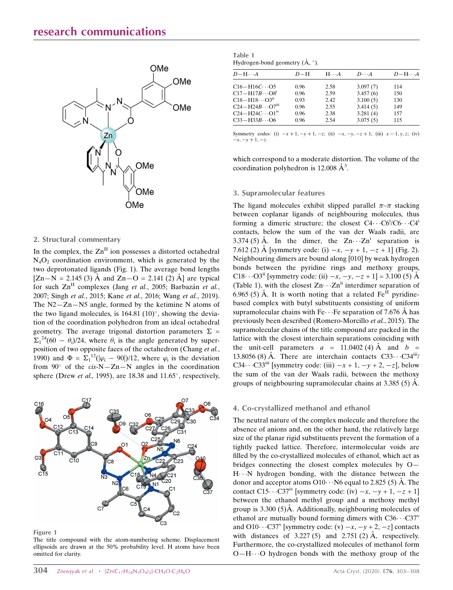

#### 2. Structural commentary

In the complex, the  $Zn<sup>II</sup>$  ion possesses a distorted octahedral  $N_4O_2$  coordination environment, which is generated by the two deprotonated ligands (Fig. 1). The average bond lengths  $[Zn-N = 2.145 (3)$  Å and  $Zn-O = 2.141 (2)$  Å are typical for such  $\text{Zn}^{\text{II}}$  complexes (Jang et al., 2005; Barbazán et al., 2007; Singh et al., 2015; Kane et al., 2016; Wang et al., 2019). The N2—Zn—N5 angle, formed by the ketimine N atoms of the two ligand molecules, is  $164.81$  (10)°, showing the deviation of the coordination polyhedron from an ideal octahedral geometry. The average trigonal distortion parameters  $\Sigma =$  $\Sigma_1^{24}$ (60 –  $\theta_i$ )/24, where  $\theta_i$  is the angle generated by superposition of two opposite faces of the octahedron (Chang et al., 1990) and  $\Phi = \sum_1^{12} (|\varphi_i - 90|)/12$ , where  $\varphi_i$  is the deviation from  $90^{\circ}$  of the cis-N-Zn-N angles in the coordination sphere (Drew et al., 1995), are 18.38 and 11.65 $^{\circ}$ , respectively,



Figure 1

The title compound with the atom-numbering scheme. Displacement ellipsoids are drawn at the 50% probability level. H atoms have been omitted for clarity.

| Table 1 |                                                |  |
|---------|------------------------------------------------|--|
|         | Hydrogen-bond geometry $(\mathbf{A}, \circ)$ . |  |

| $D-H\cdots A$                         | $D-H$ | $H \cdot \cdot \cdot A$ | $D\cdot\cdot\cdot A$ | $D-H\cdots A$ |
|---------------------------------------|-------|-------------------------|----------------------|---------------|
| $C16 - H16C \cdots O5$                | 0.96  | 2.58                    | 3.097(7)             | 114           |
| $C17 - H17B \cdots O8^{i}$            | 0.96  | 2.59                    | 3.457(6)             | 150           |
| $C18 - H18 \cdots O3^{11}$            | 0.93  | 2.42                    | 3.100(5)             | 130           |
| $C24 - H24B \cdots O7$ <sup>iii</sup> | 0.96  | 2.55                    | 3.414(5)             | 149           |
| $C24 - H24C \cdots O1^{iv}$           | 0.96  | 2.38                    | 3.281(4)             | 157           |
| $C33 - H33B \cdots 06$                | 0.96  | 2.54                    | 3.075(5)             | 115           |
|                                       |       |                         |                      |               |

Symmetry codes: (i)  $-x+1, -y+1, -z$ ; (ii)  $-x, -y, -z+1$ ; (iii)  $x-1, y, z$ ; (iv)  $-x, -y + 1, -z.$ 

which correspond to a moderate distortion. The volume of the coordination polyhedron is 12.008  $\AA^3$ .

#### 3. Supramolecular features

The ligand molecules exhibit slipped parallel  $\pi-\pi$  stacking between coplanar ligands of neighbouring molecules, thus forming a dimeric structure; the closest  $C4 \cdots C6^i/C6 \cdots C4^i$ contacts, below the sum of the van der Waals radii, are 3.374 (5) Å. In the dimer, the  $Zn \cdot Zn^i$  separation is 7.612 (2) Å [symmetry code: (i)  $-x$ ,  $-y + 1$ ,  $-z + 1$ ] (Fig. 2). Neighbouring dimers are bound along [010] by weak hydrogen bonds between the pyridine rings and methoxy groups, C18... O3<sup>ii</sup> [symmetry code: (ii)  $-x, -y, -z + 1$ ] = 3.100 (5) Å (Table 1), with the closest  $Zn \cdots Zn^{ii}$  interdimer separation of 6.965 (5) Å. It is worth noting that a related  $Fe^{II}$  pyridinebased complex with butyl substituents consisting of uniform supramolecular chains with Fe $\cdots$  Fe separation of 7.676 Å has previously been described (Romero-Morcillo et al., 2015). The supramolecular chains of the title compound are packed in the lattice with the closest interchain separations coinciding with the unit-cell parameters  $a = 11.0402$  (4) Å and  $b =$ 13.8056 (8) Å. There are interchain contacts  $C33 \cdot C34^{iii}$ C34...C33<sup>iii</sup> [symmetry code: (iii)  $-x + 1$ ,  $-y + 2$ ,  $-z$ ], below the sum of the van der Waals radii, between the methoxy groups of neighbouring supramolecular chains at  $3.385(5)$  Å.

#### 4. Co-crystallized methanol and ethanol

The neutral nature of the complex molecule and therefore the absence of anions and, on the other hand, the relatively large size of the planar rigid substituents prevent the formation of a tightly packed lattice. Therefore, intermolecular voids are filled by the co-crystallized molecules of ethanol, which act as bridges connecting the closest complex molecules by O— H...N hydrogen bonding, with the distance between the donor and acceptor atoms O10 $\cdots$ N6 equal to 2.825 (5) Å. The contact C15 $\cdots$ C37<sup>iv</sup> [symmetry code: (iv)  $-x$ ,  $-y$  + 1,  $-z$  + 1] between the ethanol methyl group and a methoxy methyl group is  $3.300\,(5)$ Å. Additionally, neighbouring molecules of ethanol are mutually bound forming dimers with  $C36 \cdots C37$ <sup>v</sup> and O10···C37<sup>v</sup> [symmetry code: (v)  $-x$ ,  $-y$  + 2,  $-z$ ] contacts with distances of 3.227 (5) and 2.751 (2)  $\AA$ , respectively. Furthermore, the co-crystallized molecules of methanol form O-H $\cdots$ O hydrogen bonds with the methoxy group of the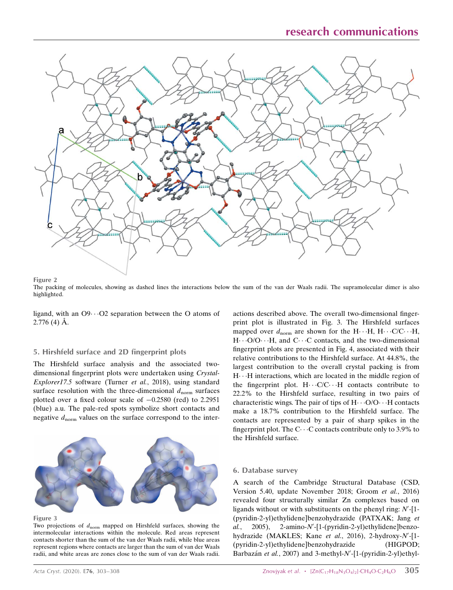# research communications



Figure 2

The packing of molecules, showing as dashed lines the interactions below the sum of the van der Waals radii. The supramolecular dimer is also highlighted.

ligand, with an O9···O2 separation between the O atoms of  $2.776(4)$  Å.

#### 5. Hirshfeld surface and 2D fingerprint plots

The Hirshfeld surface analysis and the associated twodimensional fingerprint plots were undertaken using Crystal-Explorer17.5 software (Turner et al., 2018), using standard surface resolution with the three-dimensional  $d_{\text{norm}}$  surfaces plotted over a fixed colour scale of  $-0.2580$  (red) to 2.2951 (blue) a.u. The pale-red spots symbolize short contacts and negative  $d_{\text{norm}}$  values on the surface correspond to the inter-



Figure 3

Two projections of  $d_{\text{norm}}$  mapped on Hirshfeld surfaces, showing the intermolecular interactions within the molecule. Red areas represent contacts shorter than the sum of the van der Waals radii, while blue areas represent regions where contacts are larger than the sum of van der Waals radii, and white areas are zones close to the sum of van der Waals radii.

actions described above. The overall two-dimensional fingerprint plot is illustrated in Fig. 3. The Hirshfeld surfaces mapped over  $d_{\text{norm}}$  are shown for the H $\cdots$ H, H $\cdots$ C/C $\cdots$ H, H···O/O···H, and C···C contacts, and the two-dimensional fingerprint plots are presented in Fig. 4, associated with their relative contributions to the Hirshfeld surface. At 44.8%, the largest contribution to the overall crystal packing is from H. H interactions, which are located in the middle region of the fingerprint plot.  $H \cdots C/C \cdots H$  contacts contribute to 22.2% to the Hirshfeld surface, resulting in two pairs of characteristic wings. The pair of tips of  $H \cdot \cdot \cdot O/O \cdot \cdot \cdot H$  contacts make a 18.7% contribution to the Hirshfeld surface. The contacts are represented by a pair of sharp spikes in the fingerprint plot. The  $C \cdots C$  contacts contribute only to 3.9% to the Hirshfeld surface.

#### 6. Database survey

A search of the Cambridge Structural Database (CSD, Version 5.40, update November 2018; Groom et al., 2016) revealed four structurally similar Zn complexes based on ligands without or with substituents on the phenyl ring:  $N'$ -[1-(pyridin-2-yl)ethylidene]benzohydrazide (PATXAK; Jang et al., 2005), 2-amino-N'-[1-(pyridin-2-yl)ethylidene]benzohydrazide (MAKLES; Kane et al., 2016), 2-hydroxy-N'-[1-(pyridin-2-yl)ethylidene]benzohydrazide (HIGPOD; Barbazán et al., 2007) and 3-methyl-N'-[1-(pyridin-2-yl)ethyl-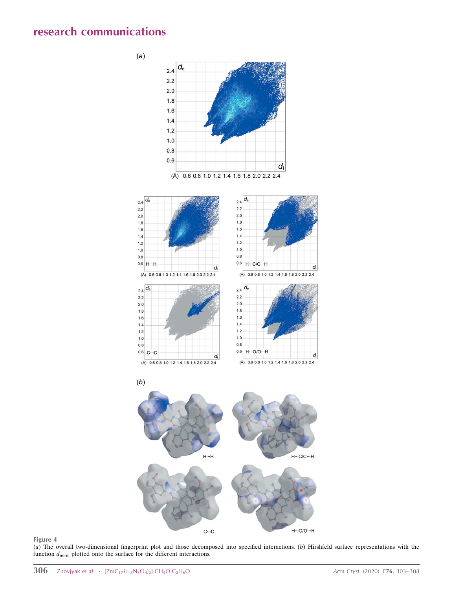

#### Figure 4

(a) The overall two-dimensional fingerprint plot and those decomposed into specified interactions. (b) Hirshfeld surface representations with the function  $d_{\text{norm}}$  plotted onto the surface for the different interactions.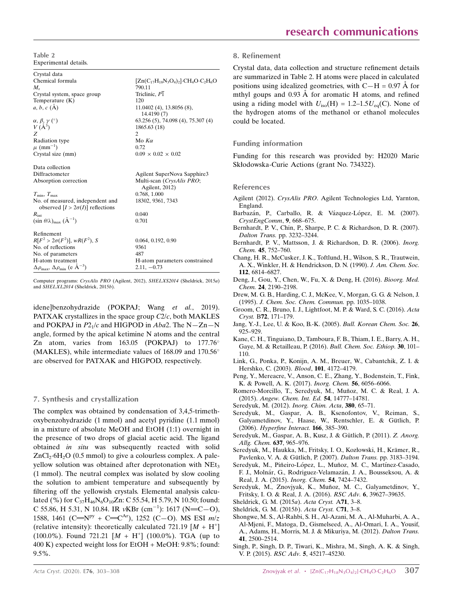Table 2 Experimental details.

| $[Zn(C_{17}H_{18}N_3O_4)_2]$ ·CH <sub>4</sub> O·C <sub>2</sub> H <sub>6</sub> O |
|---------------------------------------------------------------------------------|
| 790.11                                                                          |
| Triclinic, P1                                                                   |
| 120                                                                             |
| $11.0402(4)$ , 13.8056 $(8)$ ,<br>14.4190 (7)                                   |
| 63.256 (5), 74.098 (4), 75.307 (4)                                              |
| 1865.63 (18)                                                                    |
| $\mathfrak{D}$                                                                  |
| Mo $K\alpha$                                                                    |
| 0.72                                                                            |
| $0.09 \times 0.02 \times 0.02$                                                  |
|                                                                                 |
| Agilent SuperNova Sapphire3                                                     |
| Multi-scan (CrysAlis PRO;                                                       |
| Agilent, 2012)                                                                  |
| 0.768, 1.000                                                                    |
| 18302, 9361, 7343                                                               |
| 0.040                                                                           |
| 0.701                                                                           |
|                                                                                 |
| 0.064, 0.192, 0.90                                                              |
| 9361                                                                            |
| 487                                                                             |
| H-atom parameters constrained                                                   |
| $2.11, -0.73$                                                                   |
|                                                                                 |

Computer programs: CrysAlis PRO (Agilent, 2012), SHELXS2014 (Sheldrick, 2015a) and SHELXL2014 (Sheldrick, 2015b).

idene]benzohydrazide (POKPAJ; Wang et al., 2019). PATXAK crystallizes in the space group  $C2/c$ , both MAKLES and POKPAJ in  $P2_1/c$  and HIGPOD in Aba2. The N-Zn-N angle, formed by the apical ketimine N atoms and the central Zn atom, varies from 163.05 (POKPAJ) to 177.76° (MAKLES), while intermediate values of 168.09 and 170.56 are observed for PATXAK and HIGPOD, respectively.

# 7. Synthesis and crystallization

The complex was obtained by condensation of 3,4,5-trimethoxybenzohydrazide (1 mmol) and acetyl pyridine (1.1 mmol) in a mixture of absolute MeOH and EtOH (1:1) overnight in the presence of two drops of glacial acetic acid. The ligand obtained in situ was subsequently reacted with solid  $ZnCl_2·6H_2O$  (0.5 mmol) to give a colourless complex. A paleyellow solution was obtained after deprotonation with NEt<sub>3</sub> (1 mmol). The neutral complex was isolated by slow cooling the solution to ambient temperature and subsequently by filtering off the yellowish crystals. Elemental analysis calculated (%) for  $C_{37}H_{46}N_6O_{10}Zn$ : C 55.54, H 5.79, N 10.50; found: C 55.86, H 5.31, N 10.84. IR vKBr  $(cm^{-1})$ : 1617 (N=C-O), 1588, 1461 (C=N<sup>py</sup> + C=C<sup>Ar</sup>), 1252 (C-O). MS ESI  $m/z$ (relative intensity): theoretically calculated 721.19  $[M + H^+]$  $(100.0\%)$ . Found 721.21  $[M + H^+]$   $(100.0\%)$ . TGA (up to 400 K) expected weight loss for EtOH + MeOH: 9.8%; found: 9.5%.

#### 8. Refinement

Crystal data, data collection and structure refinement details are summarized in Table 2. H atoms were placed in calculated positions using idealized geometries, with  $C-H = 0.97 \text{ Å}$  for mthyl goups and 0.93 Å for aromatic H atoms, and refined using a riding model with  $U_{\text{iso}}(H) = 1.2{\text -}1.5U_{\text{eq}}(C)$ . None of the hydrogen atoms of the methanol or ethanol molecules could be located.

#### Funding information

Funding for this research was provided by: H2020 Marie Skłodowska-Curie Actions (grant No. 734322).

#### References

- Agilent (2012). CrysAlis PRO[. Agilent Technologies Ltd, Yarnton,](http://scripts.iucr.org/cgi-bin/cr.cgi?rm=pdfbb&cnor=tx2017&bbid=BB1) [England.](http://scripts.iucr.org/cgi-bin/cr.cgi?rm=pdfbb&cnor=tx2017&bbid=BB1)
- Barbazán, P., Carballo, R. & Vázquez-López, E. M. (2007). [CrystEngComm](http://scripts.iucr.org/cgi-bin/cr.cgi?rm=pdfbb&cnor=tx2017&bbid=BB2), 9, 668–675.
- [Bernhardt, P. V., Chin, P., Sharpe, P. C. & Richardson, D. R. \(2007\).](http://scripts.iucr.org/cgi-bin/cr.cgi?rm=pdfbb&cnor=tx2017&bbid=BB3) Dalton Trans. [pp. 3232–3244.](http://scripts.iucr.org/cgi-bin/cr.cgi?rm=pdfbb&cnor=tx2017&bbid=BB3)
- [Bernhardt, P. V., Mattsson, J. & Richardson, D. R. \(2006\).](http://scripts.iucr.org/cgi-bin/cr.cgi?rm=pdfbb&cnor=tx2017&bbid=BB4) Inorg. Chem. 45[, 752–760.](http://scripts.iucr.org/cgi-bin/cr.cgi?rm=pdfbb&cnor=tx2017&bbid=BB4)
- [Chang, H. R., McCusker, J. K., Toftlund, H., Wilson, S. R., Trautwein,](http://scripts.iucr.org/cgi-bin/cr.cgi?rm=pdfbb&cnor=tx2017&bbid=BB5) [A. X., Winkler, H. & Hendrickson, D. N. \(1990\).](http://scripts.iucr.org/cgi-bin/cr.cgi?rm=pdfbb&cnor=tx2017&bbid=BB5) J. Am. Chem. Soc. 112[, 6814–6827.](http://scripts.iucr.org/cgi-bin/cr.cgi?rm=pdfbb&cnor=tx2017&bbid=BB5)
- [Deng, J., Gou, Y., Chen, W., Fu, X. & Deng, H. \(2016\).](http://scripts.iucr.org/cgi-bin/cr.cgi?rm=pdfbb&cnor=tx2017&bbid=BB6) Bioorg. Med. Chem. 24[, 2190–2198.](http://scripts.iucr.org/cgi-bin/cr.cgi?rm=pdfbb&cnor=tx2017&bbid=BB6)
- [Drew, M. G. B., Harding, C. J., McKee, V., Morgan, G. G. & Nelson, J.](http://scripts.iucr.org/cgi-bin/cr.cgi?rm=pdfbb&cnor=tx2017&bbid=BB7) (1995). [J. Chem. Soc. Chem. Commun.](http://scripts.iucr.org/cgi-bin/cr.cgi?rm=pdfbb&cnor=tx2017&bbid=BB7) pp. 1035–1038.
- [Groom, C. R., Bruno, I. J., Lightfoot, M. P. & Ward, S. C. \(2016\).](http://scripts.iucr.org/cgi-bin/cr.cgi?rm=pdfbb&cnor=tx2017&bbid=BB8) Acta Cryst. B72[, 171–179.](http://scripts.iucr.org/cgi-bin/cr.cgi?rm=pdfbb&cnor=tx2017&bbid=BB8)
- [Jang, Y.-J., Lee, U. & Koo, B.-K. \(2005\).](http://scripts.iucr.org/cgi-bin/cr.cgi?rm=pdfbb&cnor=tx2017&bbid=BB9) Bull. Korean Chem. Soc. 26, [925–929.](http://scripts.iucr.org/cgi-bin/cr.cgi?rm=pdfbb&cnor=tx2017&bbid=BB9)
- [Kane, C. H., Tinguiano, D., Tamboura, F. B., Thiam, I. E., Barry, A. H.,](http://scripts.iucr.org/cgi-bin/cr.cgi?rm=pdfbb&cnor=tx2017&bbid=BB10) [Gaye, M. & Retailleau, P. \(2016\).](http://scripts.iucr.org/cgi-bin/cr.cgi?rm=pdfbb&cnor=tx2017&bbid=BB10) Bull. Chem. Soc. Ethiop. 30, 101– [110.](http://scripts.iucr.org/cgi-bin/cr.cgi?rm=pdfbb&cnor=tx2017&bbid=BB10)
- [Link, G., Ponka, P., Konijn, A. M., Breuer, W., Cabantchik, Z. I. &](http://scripts.iucr.org/cgi-bin/cr.cgi?rm=pdfbb&cnor=tx2017&bbid=BB11) [Hershko, C. \(2003\).](http://scripts.iucr.org/cgi-bin/cr.cgi?rm=pdfbb&cnor=tx2017&bbid=BB11) Blood, 101, 4172–4179.
- [Peng, Y., Mereacre, V., Anson, C. E., Zhang, Y., Bodenstein, T., Fink,](http://scripts.iucr.org/cgi-bin/cr.cgi?rm=pdfbb&cnor=tx2017&bbid=BB12) [K. & Powell, A. K. \(2017\).](http://scripts.iucr.org/cgi-bin/cr.cgi?rm=pdfbb&cnor=tx2017&bbid=BB12) Inorg. Chem. 56, 6056–6066.
- Romero-Morcillo, T., Seredyuk, M., Muñoz, M. C. & Real, J. A. (2015). [Angew. Chem. Int. Ed.](http://scripts.iucr.org/cgi-bin/cr.cgi?rm=pdfbb&cnor=tx2017&bbid=BB13) 54, 14777–14781.
- [Seredyuk, M. \(2012\).](http://scripts.iucr.org/cgi-bin/cr.cgi?rm=pdfbb&cnor=tx2017&bbid=BB14) Inorg. Chim. Acta, 380, 65–71.
- [Seredyuk, M., Gaspar, A. B., Ksenofontov, V., Reiman, S.,](http://scripts.iucr.org/cgi-bin/cr.cgi?rm=pdfbb&cnor=tx2017&bbid=BB15) Galyametdinov, Y., Haase, W., Rentschler, E. & Gütlich, P. (2006). [Hyperfine Interact.](http://scripts.iucr.org/cgi-bin/cr.cgi?rm=pdfbb&cnor=tx2017&bbid=BB15) 166, 385–390.
- Seredyuk, M., Gaspar, A. B., Kusz, J. & Gütlich, P. (2011). Z. Anorg. [Allg. Chem.](http://scripts.iucr.org/cgi-bin/cr.cgi?rm=pdfbb&cnor=tx2017&bbid=BB16) 637, 965–976.
- Seredyuk, M., Haukka, M., Fritsky, I. O., Kozłowski, H., Krämer, R., Pavlenko, V. A. & Gütlich, P. (2007). Dalton Trans. pp. 3183-3194.
- Seredyuk, M., Piñeiro-López, L., Muñoz, M. C., Martínez-Casado, F. J., Molnár, G., Rodriguez-Velamazán, J. A., Bousseksou, A. & [Real, J. A. \(2015\).](http://scripts.iucr.org/cgi-bin/cr.cgi?rm=pdfbb&cnor=tx2017&bbid=BB18) Inorg. Chem. 54, 7424–7432.
- Seredyuk, M., Znovjyak, K., Muñoz, M. C., Galyametdinov, Y., [Fritsky, I. O. & Real, J. A. \(2016\).](http://scripts.iucr.org/cgi-bin/cr.cgi?rm=pdfbb&cnor=tx2017&bbid=BB19) RSC Adv. 6, 39627–39635.
- [Sheldrick, G. M. \(2015](http://scripts.iucr.org/cgi-bin/cr.cgi?rm=pdfbb&cnor=tx2017&bbid=BB20)a). Acta Cryst. A71, 3–8.
- [Sheldrick, G. M. \(2015](http://scripts.iucr.org/cgi-bin/cr.cgi?rm=pdfbb&cnor=tx2017&bbid=BB21)b). Acta Cryst. C71, 3–8.
- [Shongwe, M. S., Al-Rahbi, S. H., Al-Azani, M. A., Al-Muharbi, A. A.,](http://scripts.iucr.org/cgi-bin/cr.cgi?rm=pdfbb&cnor=tx2017&bbid=BB22) [Al-Mjeni, F., Matoga, D., Gismelseed, A., Al-Omari, I. A., Yousif,](http://scripts.iucr.org/cgi-bin/cr.cgi?rm=pdfbb&cnor=tx2017&bbid=BB22) [A., Adams, H., Morris, M. J. & Mikuriya, M. \(2012\).](http://scripts.iucr.org/cgi-bin/cr.cgi?rm=pdfbb&cnor=tx2017&bbid=BB22) Dalton Trans. 41[, 2500–2514.](http://scripts.iucr.org/cgi-bin/cr.cgi?rm=pdfbb&cnor=tx2017&bbid=BB22)
- [Singh, P., Singh, D. P., Tiwari, K., Mishra, M., Singh, A. K. & Singh,](http://scripts.iucr.org/cgi-bin/cr.cgi?rm=pdfbb&cnor=tx2017&bbid=BB23) V. P. (2015). RSC Adv. 5[, 45217–45230.](http://scripts.iucr.org/cgi-bin/cr.cgi?rm=pdfbb&cnor=tx2017&bbid=BB23)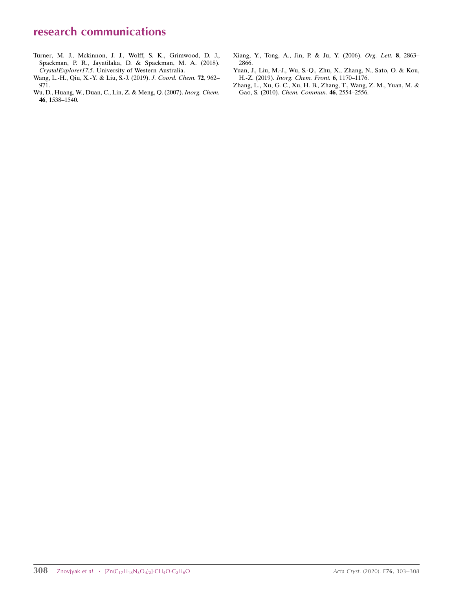- [Turner, M. J., Mckinnon, J. J., Wolff, S. K., Grimwood, D. J.,](http://scripts.iucr.org/cgi-bin/cr.cgi?rm=pdfbb&cnor=tx2017&bbid=BB29) [Spackman, P. R., Jayatilaka, D. & Spackman, M. A. \(2018\).](http://scripts.iucr.org/cgi-bin/cr.cgi?rm=pdfbb&cnor=tx2017&bbid=BB29) CrystalExplorer17.5[. University of Western Australia.](http://scripts.iucr.org/cgi-bin/cr.cgi?rm=pdfbb&cnor=tx2017&bbid=BB29)
- [Wang, L.-H., Qiu, X.-Y. & Liu, S.-J. \(2019\).](http://scripts.iucr.org/cgi-bin/cr.cgi?rm=pdfbb&cnor=tx2017&bbid=BB25) J. Coord. Chem. 72, 962– [971.](http://scripts.iucr.org/cgi-bin/cr.cgi?rm=pdfbb&cnor=tx2017&bbid=BB25)
- [Wu, D., Huang, W., Duan, C., Lin, Z. & Meng, Q. \(2007\).](http://scripts.iucr.org/cgi-bin/cr.cgi?rm=pdfbb&cnor=tx2017&bbid=BB26) Inorg. Chem. 46[, 1538–1540.](http://scripts.iucr.org/cgi-bin/cr.cgi?rm=pdfbb&cnor=tx2017&bbid=BB26)
- [Xiang, Y., Tong, A., Jin, P. & Ju, Y. \(2006\).](http://scripts.iucr.org/cgi-bin/cr.cgi?rm=pdfbb&cnor=tx2017&bbid=BB27) Org. Lett. 8, 2863– [2866.](http://scripts.iucr.org/cgi-bin/cr.cgi?rm=pdfbb&cnor=tx2017&bbid=BB27)
- [Yuan, J., Liu, M.-J., Wu, S.-Q., Zhu, X., Zhang, N., Sato, O. & Kou,](http://scripts.iucr.org/cgi-bin/cr.cgi?rm=pdfbb&cnor=tx2017&bbid=BB28) H.-Z. (2019). [Inorg. Chem. Front.](http://scripts.iucr.org/cgi-bin/cr.cgi?rm=pdfbb&cnor=tx2017&bbid=BB28) 6, 1170–1176.
- [Zhang, L., Xu, G. C., Xu, H. B., Zhang, T., Wang, Z. M., Yuan, M. &](http://scripts.iucr.org/cgi-bin/cr.cgi?rm=pdfbb&cnor=tx2017&bbid=BB29) Gao, S. (2010). [Chem. Commun.](http://scripts.iucr.org/cgi-bin/cr.cgi?rm=pdfbb&cnor=tx2017&bbid=BB29) 46, 2554–2556.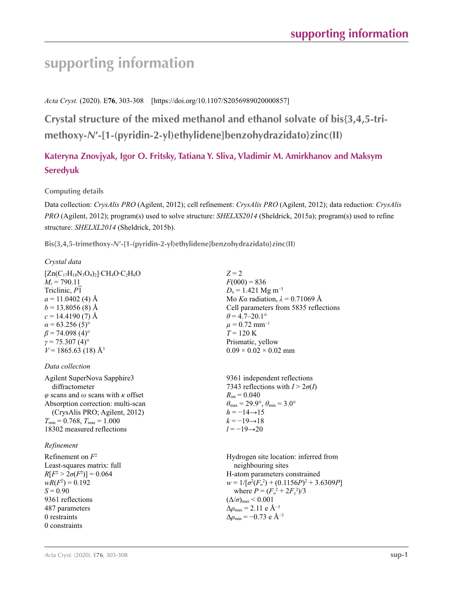# **supporting information**

*Acta Cryst.* (2020). E**76**, 303-308 [https://doi.org/10.1107/S2056989020000857]

**Crystal structure of the mixed methanol and ethanol solvate of bis{3,4,5-trimethoxy-***N***′-[1-(pyridin-2-yl)ethylidene]benzohydrazidato}zinc(II)**

# **Kateryna Znovjyak, Igor O. Fritsky, Tatiana Y. Sliva, Vladimir M. Amirkhanov and Maksym Seredyuk**

# **Computing details**

Data collection: *CrysAlis PRO* (Agilent, 2012); cell refinement: *CrysAlis PRO* (Agilent, 2012); data reduction: *CrysAlis PRO* (Agilent, 2012); program(s) used to solve structure: *SHELXS2014* (Sheldrick, 2015a); program(s) used to refine structure: *SHELXL2014* (Sheldrick, 2015b).

**Bis{3,4,5-trimethoxy-***N***′-[1-(pyridin-2-yl)ethylidene]benzohydrazidato}zinc(II)** 

## *Crystal data*

 $[Zn(C_{17}H_{18}N_3O_4)_2]$ ·CH<sub>4</sub>O·C<sub>2</sub>H<sub>6</sub>O  $M_r = 790.11$ Triclinic, *P*1  $a = 11.0402$  (4) Å  $b = 13.8056(8)$  Å  $c = 14.4190(7)$  Å  $\alpha$  = 63.256 (5)<sup>o</sup>  $\beta$  = 74.098 (4)<sup>o</sup>  $γ = 75.307(4)°$  $V = 1865.63$  (18) Å<sup>3</sup>

### *Data collection*

Agilent SuperNova Sapphire3 diffractometer *φ* scans and *ω* scans with *κ* offset Absorption correction: multi-scan (CrysAlis PRO; Agilent, 2012)  $T_{\min} = 0.768$ ,  $T_{\max} = 1.000$ 18302 measured reflections

### *Refinement*

Refinement on *F*<sup>2</sup> Least-squares matrix: full *R*[ $F^2 > 2\sigma(F^2)$ ] = 0.064  $wR(F^2) = 0.192$  $S = 0.90$ 9361 reflections 487 parameters 0 restraints 0 constraints

 $Z = 2$  $F(000) = 836$  $D_x = 1.421$  Mg m<sup>-3</sup> Mo *Kα* radiation,  $\lambda = 0.71069$  Å Cell parameters from 5835 reflections  $\theta$  = 4.7–20.1°  $\mu$  = 0.72 mm<sup>-1</sup>  $T = 120 K$ Prismatic, yellow  $0.09 \times 0.02 \times 0.02$  mm

9361 independent reflections 7343 reflections with  $I > 2\sigma(I)$  $R_{\text{int}} = 0.040$  $\theta_{\text{max}} = 29.9^{\circ}, \theta_{\text{min}} = 3.0^{\circ}$  $h = -14 \rightarrow 15$  $k = -19 \rightarrow 18$  $l = -19 \rightarrow 20$ 

Hydrogen site location: inferred from neighbouring sites H-atom parameters constrained  $w = 1/[\sigma^2 (F_o^2) + (0.1156P)^2 + 3.6309P]$ where  $P = (F_o^2 + 2F_c^2)/3$  $(\Delta/\sigma)_{\rm max} \leq 0.001$  $Δρ<sub>max</sub> = 2.11 e Å<sup>-3</sup>$  $\Delta \rho_{\rm min} = -0.73$  e Å<sup>-3</sup>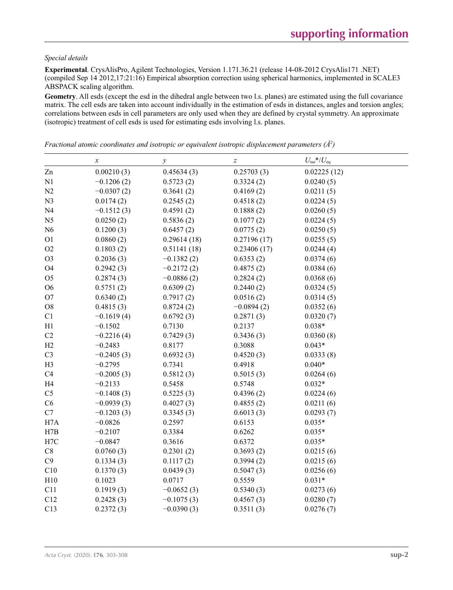#### *Special details*

**Experimental**. CrysAlisPro, Agilent Technologies, Version 1.171.36.21 (release 14-08-2012 CrysAlis171 .NET) (compiled Sep 14 2012,17:21:16) Empirical absorption correction using spherical harmonics, implemented in SCALE3 ABSPACK scaling algorithm.

**Geometry**. All esds (except the esd in the dihedral angle between two l.s. planes) are estimated using the full covariance matrix. The cell esds are taken into account individually in the estimation of esds in distances, angles and torsion angles; correlations between esds in cell parameters are only used when they are defined by crystal symmetry. An approximate (isotropic) treatment of cell esds is used for estimating esds involving l.s. planes.

|                | $\boldsymbol{x}$ | $\mathcal{Y}$ | $\boldsymbol{Z}$ | $U_{\text{iso}}$ */ $U_{\text{eq}}$ |
|----------------|------------------|---------------|------------------|-------------------------------------|
| Zn             | 0.00210(3)       | 0.45634(3)    | 0.25703(3)       | 0.02225(12)                         |
| N1             | $-0.1206(2)$     | 0.5723(2)     | 0.3324(2)        | 0.0240(5)                           |
| N2             | $-0.0307(2)$     | 0.3641(2)     | 0.4169(2)        | 0.0211(5)                           |
| N <sub>3</sub> | 0.0174(2)        | 0.2545(2)     | 0.4518(2)        | 0.0224(5)                           |
| N <sub>4</sub> | $-0.1512(3)$     | 0.4591(2)     | 0.1888(2)        | 0.0260(5)                           |
| N <sub>5</sub> | 0.0250(2)        | 0.5836(2)     | 0.1077(2)        | 0.0224(5)                           |
| N <sub>6</sub> | 0.1200(3)        | 0.6457(2)     | 0.0775(2)        | 0.0250(5)                           |
| O <sub>1</sub> | 0.0860(2)        | 0.29614(18)   | 0.27196(17)      | 0.0255(5)                           |
| O2             | 0.1803(2)        | 0.51141(18)   | 0.23406(17)      | 0.0244(4)                           |
| O <sub>3</sub> | 0.2036(3)        | $-0.1382(2)$  | 0.6353(2)        | 0.0374(6)                           |
| O <sub>4</sub> | 0.2942(3)        | $-0.2172(2)$  | 0.4875(2)        | 0.0384(6)                           |
| O <sub>5</sub> | 0.2874(3)        | $-0.0886(2)$  | 0.2824(2)        | 0.0368(6)                           |
| O <sub>6</sub> | 0.5751(2)        | 0.6309(2)     | 0.2440(2)        | 0.0324(5)                           |
| O <sub>7</sub> | 0.6340(2)        | 0.7917(2)     | 0.0516(2)        | 0.0314(5)                           |
| ${\rm O}8$     | 0.4815(3)        | 0.8724(2)     | $-0.0894(2)$     | 0.0352(6)                           |
| C1             | $-0.1619(4)$     | 0.6792(3)     | 0.2871(3)        | 0.0320(7)                           |
| H1             | $-0.1502$        | 0.7130        | 0.2137           | $0.038*$                            |
| C2             | $-0.2216(4)$     | 0.7429(3)     | 0.3436(3)        | 0.0360(8)                           |
| H2             | $-0.2483$        | 0.8177        | 0.3088           | $0.043*$                            |
| C <sub>3</sub> | $-0.2405(3)$     | 0.6932(3)     | 0.4520(3)        | 0.0333(8)                           |
| H <sub>3</sub> | $-0.2795$        | 0.7341        | 0.4918           | $0.040*$                            |
| C4             | $-0.2005(3)$     | 0.5812(3)     | 0.5015(3)        | 0.0264(6)                           |
| H <sub>4</sub> | $-0.2133$        | 0.5458        | 0.5748           | $0.032*$                            |
| C <sub>5</sub> | $-0.1408(3)$     | 0.5225(3)     | 0.4396(2)        | 0.0224(6)                           |
| C6             | $-0.0939(3)$     | 0.4027(3)     | 0.4855(2)        | 0.0211(6)                           |
| $\mathbf{C}7$  | $-0.1203(3)$     | 0.3345(3)     | 0.6013(3)        | 0.0293(7)                           |
| H7A            | $-0.0826$        | 0.2597        | 0.6153           | $0.035*$                            |
| H7B            | $-0.2107$        | 0.3384        | 0.6262           | $0.035*$                            |
| H7C            | $-0.0847$        | 0.3616        | 0.6372           | $0.035*$                            |
| $\mbox{C}8$    | 0.0760(3)        | 0.2301(2)     | 0.3693(2)        | 0.0215(6)                           |
| C9             | 0.1334(3)        | 0.1117(2)     | 0.3994(2)        | 0.0215(6)                           |
| C10            | 0.1370(3)        | 0.0439(3)     | 0.5047(3)        | 0.0256(6)                           |
| H10            | 0.1023           | 0.0717        | 0.5559           | $0.031*$                            |
| C11            | 0.1919(3)        | $-0.0652(3)$  | 0.5340(3)        | 0.0273(6)                           |
| C12            | 0.2428(3)        | $-0.1075(3)$  | 0.4567(3)        | 0.0280(7)                           |
| C13            | 0.2372(3)        | $-0.0390(3)$  | 0.3511(3)        | 0.0276(7)                           |

*Fractional atomic coordinates and isotropic or equivalent isotropic displacement parameters (Å<sup>2</sup>)*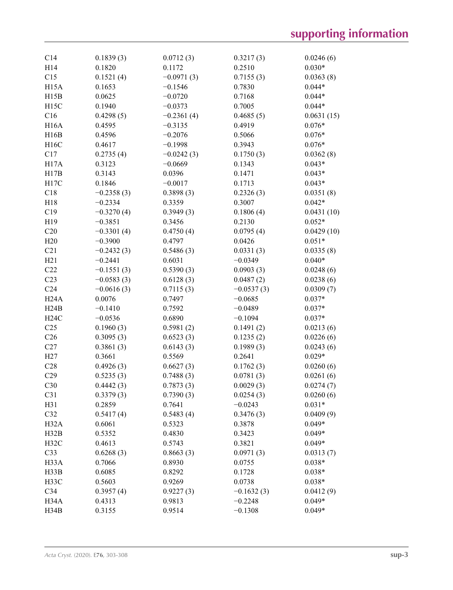| C14               | 0.1839(3)    | 0.0712(3)    | 0.3217(3)    | 0.0246(6)  |
|-------------------|--------------|--------------|--------------|------------|
| H14               | 0.1820       | 0.1172       | 0.2510       | $0.030*$   |
| C15               | 0.1521(4)    | $-0.0971(3)$ | 0.7155(3)    | 0.0363(8)  |
| <b>H15A</b>       | 0.1653       | $-0.1546$    | 0.7830       | $0.044*$   |
| H15B              | 0.0625       | $-0.0720$    | 0.7168       | $0.044*$   |
| H15C              | 0.1940       | $-0.0373$    | 0.7005       | $0.044*$   |
| C16               | 0.4298(5)    | $-0.2361(4)$ | 0.4685(5)    | 0.0631(15) |
| H <sub>16</sub> A | 0.4595       | $-0.3135$    | 0.4919       | $0.076*$   |
| H16B              | 0.4596       | $-0.2076$    | 0.5066       | $0.076*$   |
| H16C              | 0.4617       | $-0.1998$    | 0.3943       | $0.076*$   |
| C17               | 0.2735(4)    | $-0.0242(3)$ | 0.1750(3)    | 0.0362(8)  |
| H17A              | 0.3123       | $-0.0669$    | 0.1343       | $0.043*$   |
| H17B              | 0.3143       | 0.0396       | 0.1471       | $0.043*$   |
| H17C              | 0.1846       | $-0.0017$    | 0.1713       | $0.043*$   |
| C18               | $-0.2358(3)$ | 0.3898(3)    | 0.2326(3)    | 0.0351(8)  |
| H18               | $-0.2334$    | 0.3359       | 0.3007       | $0.042*$   |
| C19               | $-0.3270(4)$ | 0.3949(3)    | 0.1806(4)    | 0.0431(10) |
| H19               | $-0.3851$    | 0.3456       | 0.2130       | $0.052*$   |
| C20               | $-0.3301(4)$ | 0.4750(4)    | 0.0795(4)    | 0.0429(10) |
| H20               | $-0.3900$    | 0.4797       | 0.0426       | $0.051*$   |
| C21               | $-0.2432(3)$ | 0.5486(3)    | 0.0331(3)    | 0.0335(8)  |
| H21               | $-0.2441$    | 0.6031       | $-0.0349$    | $0.040*$   |
| C22               | $-0.1551(3)$ | 0.5390(3)    | 0.0903(3)    | 0.0248(6)  |
| C23               | $-0.0583(3)$ | 0.6128(3)    | 0.0487(2)    | 0.0238(6)  |
| C <sub>24</sub>   | $-0.0616(3)$ | 0.7115(3)    | $-0.0537(3)$ | 0.0309(7)  |
| H <sub>24</sub> A | 0.0076       | 0.7497       | $-0.0685$    | $0.037*$   |
| H24B              | $-0.1410$    | 0.7592       | $-0.0489$    | $0.037*$   |
| H24C              | $-0.0536$    | 0.6890       | $-0.1094$    | $0.037*$   |
| C <sub>25</sub>   | 0.1960(3)    | 0.5981(2)    | 0.1491(2)    | 0.0213(6)  |
| C <sub>26</sub>   | 0.3095(3)    | 0.6523(3)    | 0.1235(2)    | 0.0226(6)  |
| C27               | 0.3861(3)    | 0.6143(3)    | 0.1989(3)    | 0.0243(6)  |
| H27               | 0.3661       | 0.5569       | 0.2641       | $0.029*$   |
| C28               | 0.4926(3)    | 0.6627(3)    | 0.1762(3)    | 0.0260(6)  |
| C29               | 0.5235(3)    | 0.7488(3)    | 0.0781(3)    | 0.0261(6)  |
| C30               | 0.4442(3)    | 0.7873(3)    | 0.0029(3)    | 0.0274(7)  |
| C31               | 0.3379(3)    | 0.7390(3)    | 0.0254(3)    | 0.0260(6)  |
| H31               | 0.2859       | 0.7641       | $-0.0243$    | $0.031*$   |
| C32               | 0.5417(4)    | 0.5483(4)    | 0.3476(3)    | 0.0409(9)  |
| H <sub>32</sub> A | 0.6061       | 0.5323       | 0.3878       | $0.049*$   |
| H32B              | 0.5352       | 0.4830       | 0.3423       | $0.049*$   |
| H32C              | 0.4613       | 0.5743       | 0.3821       | $0.049*$   |
| C <sub>33</sub>   | 0.6268(3)    | 0.8663(3)    | 0.0971(3)    | 0.0313(7)  |
| H33A              | 0.7066       | 0.8930       | 0.0755       | $0.038*$   |
| H33B              | 0.6085       | 0.8292       | 0.1728       | $0.038*$   |
| H33C              | 0.5603       | 0.9269       | 0.0738       | $0.038*$   |
| C34               | 0.3957(4)    | 0.9227(3)    | $-0.1632(3)$ | 0.0412(9)  |
| H34A              | 0.4313       | 0.9813       | $-0.2248$    | $0.049*$   |
| H34B              | 0.3155       | 0.9514       | $-0.1308$    | $0.049*$   |
|                   |              |              |              |            |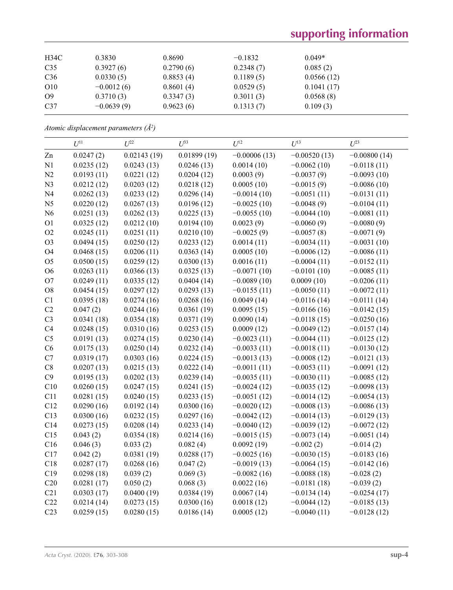# **supporting information**

| 0.8690                                                                        | $-0.1832$ | $0.049*$   |
|-------------------------------------------------------------------------------|-----------|------------|
| 0.2790(6)                                                                     | 0.2348(7) | 0.085(2)   |
| 0.8853(4)                                                                     | 0.1189(5) | 0.0566(12) |
| 0.8601(4)                                                                     | 0.0529(5) | 0.1041(17) |
| 0.3347(3)                                                                     | 0.3011(3) | 0.0568(8)  |
| 0.9623(6)                                                                     |           | 0.109(3)   |
| 0.3830<br>0.3927(6)<br>0.0330(5)<br>$-0.0012(6)$<br>0.3710(3)<br>$-0.0639(9)$ |           | 0.1313(7)  |

*Atomic displacement parameters (Å2 )*

|                 | $U^{11}$   | $L^{22}$    | $U^{33}$    | $U^{12}$       | $U^{13}$       | $I^{23}$       |
|-----------------|------------|-------------|-------------|----------------|----------------|----------------|
| Zn              | 0.0247(2)  | 0.02143(19) | 0.01899(19) | $-0.00006(13)$ | $-0.00520(13)$ | $-0.00800(14)$ |
| N1              | 0.0235(12) | 0.0243(13)  | 0.0246(13)  | 0.0014(10)     | $-0.0062(10)$  | $-0.0118(11)$  |
| N2              | 0.0193(11) | 0.0221(12)  | 0.0204(12)  | 0.0003(9)      | $-0.0037(9)$   | $-0.0093(10)$  |
| N3              | 0.0212(12) | 0.0203(12)  | 0.0218(12)  | 0.0005(10)     | $-0.0015(9)$   | $-0.0086(10)$  |
| N <sub>4</sub>  | 0.0262(13) | 0.0233(12)  | 0.0296(14)  | $-0.0014(10)$  | $-0.0051(11)$  | $-0.0131(11)$  |
| N <sub>5</sub>  | 0.0220(12) | 0.0267(13)  | 0.0196(12)  | $-0.0025(10)$  | $-0.0048(9)$   | $-0.0104(11)$  |
| N6              | 0.0251(13) | 0.0262(13)  | 0.0225(13)  | $-0.0055(10)$  | $-0.0044(10)$  | $-0.0081(11)$  |
| O <sub>1</sub>  | 0.0325(12) | 0.0212(10)  | 0.0194(10)  | 0.0023(9)      | $-0.0060(9)$   | $-0.0080(9)$   |
| O2              | 0.0245(11) | 0.0251(11)  | 0.0210(10)  | $-0.0025(9)$   | $-0.0057(8)$   | $-0.0071(9)$   |
| O <sub>3</sub>  | 0.0494(15) | 0.0250(12)  | 0.0233(12)  | 0.0014(11)     | $-0.0034(11)$  | $-0.0031(10)$  |
| O <sub>4</sub>  | 0.0468(15) | 0.0206(11)  | 0.0363(14)  | 0.0005(10)     | $-0.0006(12)$  | $-0.0086(11)$  |
| O <sub>5</sub>  | 0.0500(15) | 0.0259(12)  | 0.0300(13)  | 0.0016(11)     | $-0.0004(11)$  | $-0.0152(11)$  |
| O <sub>6</sub>  | 0.0263(11) | 0.0366(13)  | 0.0325(13)  | $-0.0071(10)$  | $-0.0101(10)$  | $-0.0085(11)$  |
| O7              | 0.0249(11) | 0.0335(12)  | 0.0404(14)  | $-0.0089(10)$  | 0.0009(10)     | $-0.0206(11)$  |
| O <sub>8</sub>  | 0.0454(15) | 0.0297(12)  | 0.0293(13)  | $-0.0155(11)$  | $-0.0050(11)$  | $-0.0072(11)$  |
| C1              | 0.0395(18) | 0.0274(16)  | 0.0268(16)  | 0.0049(14)     | $-0.0116(14)$  | $-0.0111(14)$  |
| C2              | 0.047(2)   | 0.0244(16)  | 0.0361(19)  | 0.0095(15)     | $-0.0166(16)$  | $-0.0142(15)$  |
| C <sub>3</sub>  | 0.0341(18) | 0.0354(18)  | 0.0371(19)  | 0.0090(14)     | $-0.0118(15)$  | $-0.0250(16)$  |
| C <sub>4</sub>  | 0.0248(15) | 0.0310(16)  | 0.0253(15)  | 0.0009(12)     | $-0.0049(12)$  | $-0.0157(14)$  |
| C <sub>5</sub>  | 0.0191(13) | 0.0274(15)  | 0.0230(14)  | $-0.0023(11)$  | $-0.0044(11)$  | $-0.0125(12)$  |
| C6              | 0.0175(13) | 0.0250(14)  | 0.0232(14)  | $-0.0033(11)$  | $-0.0018(11)$  | $-0.0130(12)$  |
| C7              | 0.0319(17) | 0.0303(16)  | 0.0224(15)  | $-0.0013(13)$  | $-0.0008(12)$  | $-0.0121(13)$  |
| $\mbox{C}8$     | 0.0207(13) | 0.0215(13)  | 0.0222(14)  | $-0.0011(11)$  | $-0.0053(11)$  | $-0.0091(12)$  |
| C9              | 0.0195(13) | 0.0202(13)  | 0.0239(14)  | $-0.0035(11)$  | $-0.0030(11)$  | $-0.0085(12)$  |
| C10             | 0.0260(15) | 0.0247(15)  | 0.0241(15)  | $-0.0024(12)$  | $-0.0035(12)$  | $-0.0098(13)$  |
| C11             | 0.0281(15) | 0.0240(15)  | 0.0233(15)  | $-0.0051(12)$  | $-0.0014(12)$  | $-0.0054(13)$  |
| C12             | 0.0290(16) | 0.0192(14)  | 0.0300(16)  | $-0.0020(12)$  | $-0.0008(13)$  | $-0.0086(13)$  |
| C13             | 0.0300(16) | 0.0232(15)  | 0.0297(16)  | $-0.0042(12)$  | $-0.0014(13)$  | $-0.0129(13)$  |
| C14             | 0.0273(15) | 0.0208(14)  | 0.0233(14)  | $-0.0040(12)$  | $-0.0039(12)$  | $-0.0072(12)$  |
| C15             | 0.043(2)   | 0.0354(18)  | 0.0214(16)  | $-0.0015(15)$  | $-0.0073(14)$  | $-0.0051(14)$  |
| C16             | 0.046(3)   | 0.033(2)    | 0.082(4)    | 0.0092(19)     | $-0.002(2)$    | $-0.014(2)$    |
| C17             | 0.042(2)   | 0.0381(19)  | 0.0288(17)  | $-0.0025(16)$  | $-0.0030(15)$  | $-0.0183(16)$  |
| C18             | 0.0287(17) | 0.0268(16)  | 0.047(2)    | $-0.0019(13)$  | $-0.0064(15)$  | $-0.0142(16)$  |
| C19             | 0.0298(18) | 0.039(2)    | 0.069(3)    | $-0.0082(16)$  | $-0.0088(18)$  | $-0.028(2)$    |
| C20             | 0.0281(17) | 0.050(2)    | 0.068(3)    | 0.0022(16)     | $-0.0181(18)$  | $-0.039(2)$    |
| C21             | 0.0303(17) | 0.0400(19)  | 0.0384(19)  | 0.0067(14)     | $-0.0134(14)$  | $-0.0254(17)$  |
| C22             | 0.0214(14) | 0.0273(15)  | 0.0300(16)  | 0.0018(12)     | $-0.0044(12)$  | $-0.0185(13)$  |
| C <sub>23</sub> | 0.0259(15) | 0.0280(15)  | 0.0186(14)  | 0.0005(12)     | $-0.0040(11)$  | $-0.0128(12)$  |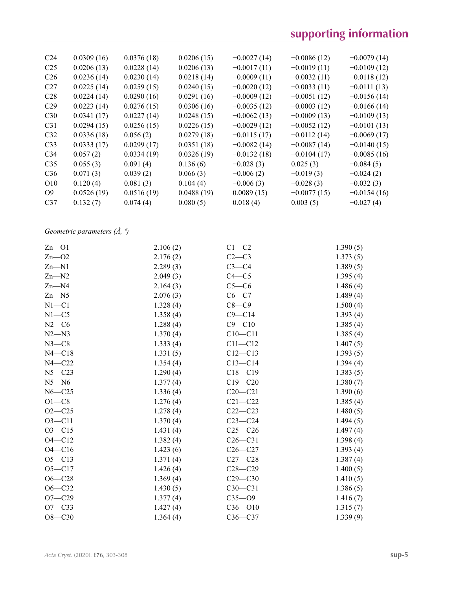| C <sub>24</sub> | 0.0309(16) | 0.0376(18) | 0.0206(15) | $-0.0027(14)$ | $-0.0086(12)$ | $-0.0079(14)$ |
|-----------------|------------|------------|------------|---------------|---------------|---------------|
| C <sub>25</sub> | 0.0206(13) | 0.0228(14) | 0.0206(13) | $-0.0017(11)$ | $-0.0019(11)$ | $-0.0109(12)$ |
| C <sub>26</sub> | 0.0236(14) | 0.0230(14) | 0.0218(14) | $-0.0009(11)$ | $-0.0032(11)$ | $-0.0118(12)$ |
| C <sub>27</sub> | 0.0225(14) | 0.0259(15) | 0.0240(15) | $-0.0020(12)$ | $-0.0033(11)$ | $-0.0111(13)$ |
| C <sub>28</sub> | 0.0224(14) | 0.0290(16) | 0.0291(16) | $-0.0009(12)$ | $-0.0051(12)$ | $-0.0156(14)$ |
| C <sub>29</sub> | 0.0223(14) | 0.0276(15) | 0.0306(16) | $-0.0035(12)$ | $-0.0003(12)$ | $-0.0166(14)$ |
| C30             | 0.0341(17) | 0.0227(14) | 0.0248(15) | $-0.0062(13)$ | $-0.0009(13)$ | $-0.0109(13)$ |
| C <sub>31</sub> | 0.0294(15) | 0.0256(15) | 0.0226(15) | $-0.0029(12)$ | $-0.0052(12)$ | $-0.0101(13)$ |
| C <sub>32</sub> | 0.0336(18) | 0.056(2)   | 0.0279(18) | $-0.0115(17)$ | $-0.0112(14)$ | $-0.0069(17)$ |
| C <sub>33</sub> | 0.0333(17) | 0.0299(17) | 0.0351(18) | $-0.0082(14)$ | $-0.0087(14)$ | $-0.0140(15)$ |
| C <sub>34</sub> | 0.057(2)   | 0.0334(19) | 0.0326(19) | $-0.0132(18)$ | $-0.0104(17)$ | $-0.0085(16)$ |
| C <sub>35</sub> | 0.055(3)   | 0.091(4)   | 0.136(6)   | $-0.028(3)$   | 0.025(3)      | $-0.084(5)$   |
| C <sub>36</sub> | 0.071(3)   | 0.039(2)   | 0.066(3)   | $-0.006(2)$   | $-0.019(3)$   | $-0.024(2)$   |
| O <sub>10</sub> | 0.120(4)   | 0.081(3)   | 0.104(4)   | $-0.006(3)$   | $-0.028(3)$   | $-0.032(3)$   |
| O <sub>9</sub>  | 0.0526(19) | 0.0516(19) | 0.0488(19) | 0.0089(15)    | $-0.0077(15)$ | $-0.0154(16)$ |
| C <sub>37</sub> | 0.132(7)   | 0.074(4)   | 0.080(5)   | 0.018(4)      | 0.003(5)      | $-0.027(4)$   |
|                 |            |            |            |               |               |               |

*Geometric parameters (Å, º)*

| $Zn$ - $O1$ | 2.106(2) | $C1-C2$     | 1.390(5) |
|-------------|----------|-------------|----------|
| $Zn - 02$   | 2.176(2) | $C2-C3$     | 1.373(5) |
| $Zn - N1$   | 2.289(3) | $C3-C4$     | 1.389(5) |
| $Zn-M2$     | 2.049(3) | $C4 - C5$   | 1.395(4) |
| $Zn$ —N4    | 2.164(3) | $C5-C6$     | 1.486(4) |
| $Zn$ –N5    | 2.076(3) | $C6-C7$     | 1.489(4) |
| $N1 - C1$   | 1.328(4) | $C8 - C9$   | 1.500(4) |
| $N1 - C5$   | 1.358(4) | $C9 - C14$  | 1.393(4) |
| $N2-C6$     | 1.288(4) | $C9 - C10$  | 1.385(4) |
| $N2 - N3$   | 1.370(4) | $C10 - C11$ | 1.385(4) |
| $N3-C8$     | 1.333(4) | $C11 - C12$ | 1.407(5) |
| $N4 - C18$  | 1.331(5) | $C12 - C13$ | 1.393(5) |
| $N4 - C22$  | 1.354(4) | $C13 - C14$ | 1.394(4) |
| $N5 - C23$  | 1.290(4) | $C18 - C19$ | 1.383(5) |
| $N5 - N6$   | 1.377(4) | $C19 - C20$ | 1.380(7) |
| $N6 - C25$  | 1.336(4) | $C20 - C21$ | 1.390(6) |
| $O1 - C8$   | 1.276(4) | $C21 - C22$ | 1.385(4) |
| $O2 - C25$  | 1.278(4) | $C22-C23$   | 1.480(5) |
| $O3 - C11$  | 1.370(4) | $C23-C24$   | 1.494(5) |
| $O3 - C15$  | 1.431(4) | $C25-C26$   | 1.497(4) |
| $O4 - C12$  | 1.382(4) | $C26-C31$   | 1.398(4) |
| $O4 - C16$  | 1.423(6) | $C26-C27$   | 1.393(4) |
| $O5 - C13$  | 1.371(4) | $C27-C28$   | 1.387(4) |
| $O5 - C17$  | 1.426(4) | $C28 - C29$ | 1.400(5) |
| $O6 - C28$  | 1.369(4) | $C29 - C30$ | 1.410(5) |
| $O6 - C32$  | 1.430(5) | $C30-C31$   | 1.386(5) |
| $O7 - C29$  | 1.377(4) | $C35 - 09$  | 1.416(7) |
| $O7 - C33$  | 1.427(4) | $C36 - O10$ | 1.315(7) |
| $O8 - C30$  | 1.364(4) | $C36-C37$   | 1.339(9) |
|             |          |             |          |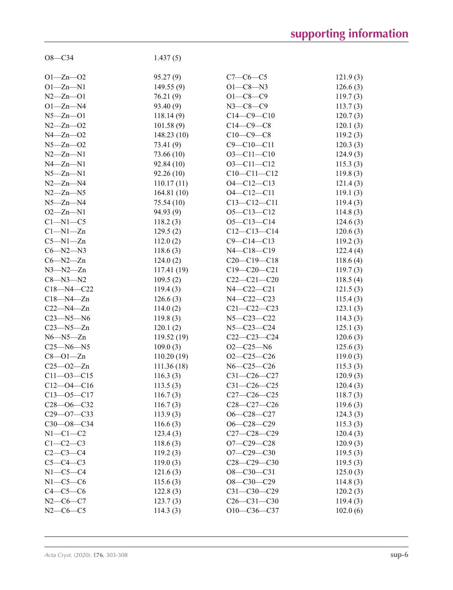| $O8 - C34$       | 1.437(5)   |                   |          |
|------------------|------------|-------------------|----------|
|                  |            |                   |          |
| $O1 - Zn - O2$   | 95.27(9)   | $C7-C6-C5$        | 121.9(3) |
| $O1 - Zn - N1$   | 149.55(9)  | $O1 - C8 - N3$    | 126.6(3) |
| $N2 - Zn - O1$   | 76.21 (9)  | $O1 - C8 - C9$    | 119.7(3) |
| $O1 - Zn - N4$   | 93.40 (9)  | $N3 - C8 - C9$    | 113.7(3) |
| $N5 - Zn - O1$   | 118.14(9)  | $C14-C9-C10$      | 120.7(3) |
| $N2 - Zn - 02$   | 101.58(9)  | $C14-C9-C8$       | 120.1(3) |
| $N4 - Zn - 02$   | 148.23(10) | $C10-C9-C8$       | 119.2(3) |
| $N5 - Zn - 02$   | 73.41 (9)  | $C9 - C10 - C11$  | 120.3(3) |
| $N2 - Zn - N1$   | 73.66 (10) | $O3 - Cl1 - Cl0$  | 124.9(3) |
| $N4 - Zn - N1$   | 92.84 (10) | $O3 - Cl1 - Cl2$  | 115.3(3) |
| $N5 - Zn - N1$   | 92.26 (10) | $C10-C11-C12$     | 119.8(3) |
| $N2 - Zn - N4$   | 110.17(11) | $O4 - C12 - C13$  | 121.4(3) |
| $N2 - Zn - N5$   | 164.81(10) | $O4 - C12 - C11$  | 119.1(3) |
| $N5 - Zn - N4$   | 75.54(10)  | $C13 - C12 - C11$ | 119.4(3) |
| $O2 - Zn - N1$   | 94.93 (9)  | $O5 - C13 - C12$  | 114.8(3) |
| $Cl-M1-C5$       | 118.2(3)   | $O5 - C13 - C14$  | 124.6(3) |
| $Cl-M1-Zn$       | 129.5(2)   | $C12 - C13 - C14$ | 120.6(3) |
| $C5 - N1 - Zn$   | 112.0(2)   | $C9 - C14 - C13$  | 119.2(3) |
| $C6 - N2 - N3$   | 118.6(3)   | $N4 - C18 - C19$  | 122.4(4) |
| $C6 - N2 - Zn$   | 124.0(2)   | $C20-C19-C18$     | 118.6(4) |
| $N3 - N2 - Zn$   | 117.41(19) | $C19 - C20 - C21$ | 119.7(3) |
| $C8 - N3 - N2$   | 109.5(2)   | $C22-C21-C20$     | 118.5(4) |
| $C18 - N4 - C22$ | 119.4(3)   | N4-C22-C21        | 121.5(3) |
| $C18 - N4 - Zn$  | 126.6(3)   | N4-C22-C23        | 115.4(3) |
| $C22 - N4 - Zn$  | 114.0(2)   | $C21 - C22 - C23$ | 123.1(3) |
| $C23 - N5 - N6$  | 119.8(3)   | $N5 - C23 - C22$  | 114.3(3) |
| $C23 - N5 - Zn$  | 120.1(2)   | $N5 - C23 - C24$  | 125.1(3) |
| $N6 - N5 - Zn$   | 119.52(19) | $C22-C23-C24$     | 120.6(3) |
| $C25 - N6 - N5$  | 109.0(3)   | $O2 - C25 - N6$   | 125.6(3) |
| $C8 - O1 - Zn$   | 110.20(19) | $O2-C25-C26$      | 119.0(3) |
| $C25 - 02 - Zn$  | 111.36(18) | $N6 - C25 - C26$  | 115.3(3) |
| $C11 - 03 - C15$ | 116.3(3)   | C31-C26-C27       | 120.9(3) |
| $C12 - 04 - C16$ | 113.5(3)   | $C31 - C26 - C25$ | 120.4(3) |
| $C13 - 05 - C17$ | 116.7(3)   | $C27-C26-C25$     | 118.7(3) |
| $C28 - 06 - C32$ | 116.7(3)   | $C28 - C27 - C26$ | 119.6(3) |
| $C29 - 07 - C33$ | 113.9(3)   | $O6 - C28 - C27$  | 124.3(3) |
| $C30 - 08 - C34$ | 116.6(3)   | $O6 - C28 - C29$  | 115.3(3) |
| $N1-C1-C2$       | 123.4(3)   | $C27-C28-C29$     | 120.4(3) |
| $C1-C2-C3$       | 118.6(3)   | $O7 - C29 - C28$  | 120.9(3) |
| $C2 - C3 - C4$   | 119.2(3)   | $O7 - C29 - C30$  | 119.5(3) |
| $C5-C4-C3$       | 119.0(3)   | $C28-C29-C30$     | 119.5(3) |
| $N1-C5-C4$       | 121.6(3)   | $O8 - C30 - C31$  | 125.0(3) |
| $N1-C5-C6$       | 115.6(3)   | $O8 - C30 - C29$  | 114.8(3) |
| $C4-C5-C6$       | 122.8(3)   | $C31 - C30 - C29$ | 120.2(3) |
| $N2-C6-C7$       | 123.7(3)   | $C26 - C31 - C30$ | 119.4(3) |
| $N2-C6-C5$       | 114.3(3)   | O10-C36-C37       | 102.0(6) |